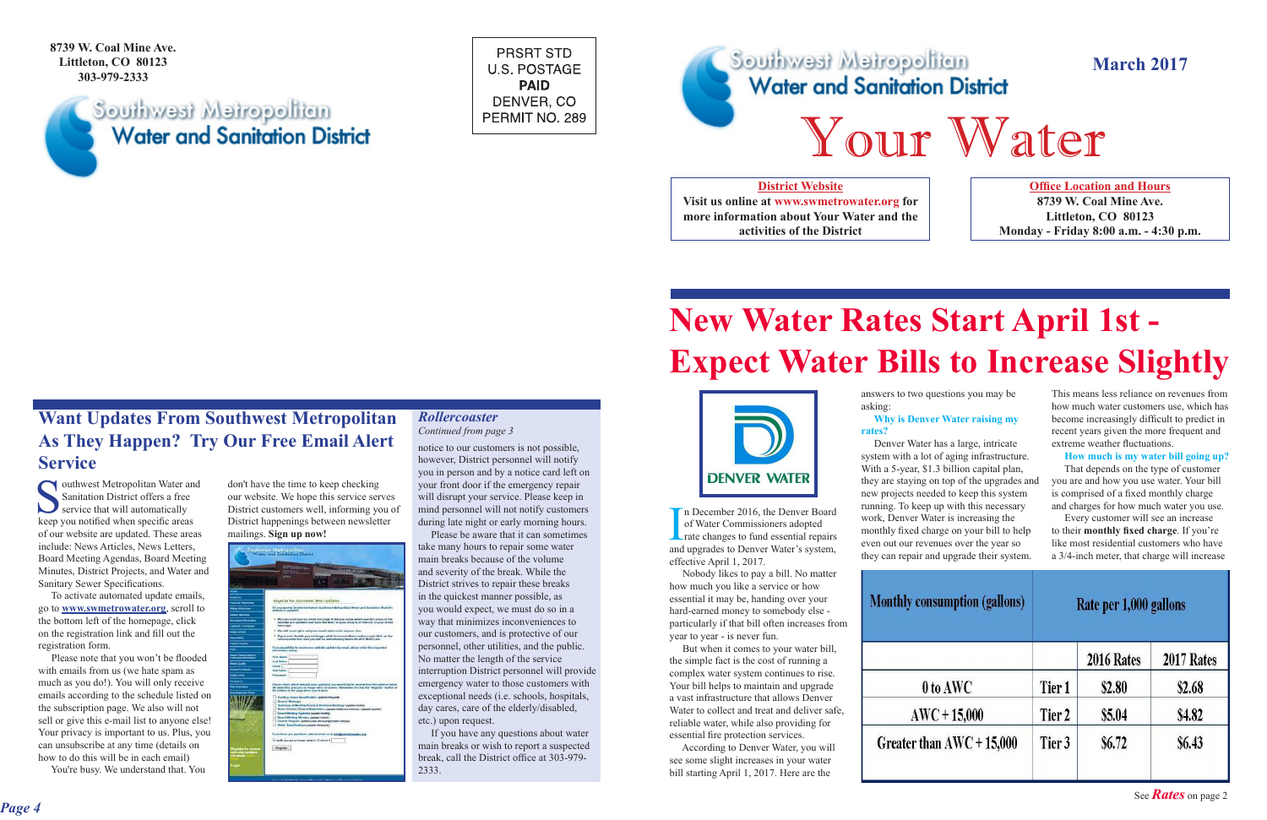## **March 2017**

**8739 W. Coal Mine Ave. Littleton, CO 80123 303-979-2333**

## Southwest Metropolitan **Water and Sanitation District**

**PRSRT STD U.S. POSTAGE PAID** DENVER, CO PERMIT NO. 289



**Office Location and Hours 8739 W. Coal Mine Ave. Littleton, CO 80123 Monday - Friday 8:00 a.m. - 4:30 p.m.**

### **District Website**

**Visit us online at www.swmetrowater.org for more information about Your Water and the activities of the District**

### *Rollercoaster Continued from page 3*

# **New Water Rates Start April 1st - Expect Water Bills to Increase Slightly**

outhwest Metropolitan Water and Sanitation District offers a free service that will automatically keep you notified when specific areas of our website are updated. These areas include: News Articles, News Letters, Board Meeting Agendas, Board Meeting Minutes, District Projects, and Water and Sanitary Sewer Specifications.

## **Want Updates From Southwest Metropolitan As They Happen? Try Our Free Email Alert Service**

don't have the time to keep checking our website. We hope this service serves District customers well, informing you of District happenings between newsletter District customers well, informing you of<br>District happenings between newsletter during late night or early morning hours.<br> **If the mailings. Sign up now!** Please be aware that it can sometimes take many hours to repair so



 To activate automated update emails, go to **www.swmetrowater.org**, scroll to the bottom left of the homepage, click on the registration link and fill out the registration form.

 Please note that you won't be flooded with emails from us (we hate spam as much as you do!). You will only receive emails according to the schedule listed on the subscription page. We also will not sell or give this e-mail list to anyone else! Your privacy is important to us. Plus, you can unsubscribe at any time (details on how to do this will be in each email)

You're busy. We understand that. You

n December 2016, the Denver Board of Water Commissioners adopted **L** rate changes to fund essential repairs and upgrades to Denver Water's system, effective April 1, 2017.

 Nobody likes to pay a bill. No matter how much you like a service or how essential it may be, handing over your hard-earned money to somebody else particularly if that bill often increases from year to year - is never fun.

 But when it comes to your water bill, the simple fact is the cost of running a complex water system continues to rise. Your bill helps to maintain and upgrade a vast infrastructure that allows Denver Water to collect and treat and deliver safe, reliable water, while also providing for essential fire protection services.

 According to Denver Water, you will see some slight increases in your water bill starting April 1, 2017. Here are the

answers to two questions you may be asking: **Why is Denver Water raising my** 

## **rates?**

 Denver Water has a large, intricate system with a lot of aging infrastructure. With a 5-year, \$1.3 billion capital plan, they are staying on top of the upgrades and new projects needed to keep this system running. To keep up with this necessary work, Denver Water is increasing the monthly fixed charge on your bill to help even out our revenues over the year so they can repair and upgrade their system.

| <b>Monthly cons</b> |
|---------------------|
|                     |
| 0 t                 |
| AW <sub>C</sub>     |
| <b>Greater that</b> |

This means less reliance on revenues from how much water customers use, which has become increasingly difficult to predict in recent years given the more frequent and extreme weather fluctuations.

**How much is my water bill going up?**

 That depends on the type of customer you are and how you use water. Your bill is comprised of a fixed monthly charge and charges for how much water you use.

 Every customer will see an increase to their **monthly fixed charge**. If you're like most residential customers who have a 3/4-inch meter, that charge will increase

| Rate per 1,000 gallons |              |               |
|------------------------|--------------|---------------|
|                        | 2016 Rates   | 2017 Rates    |
| Tier 1                 | \$2.80       | \$2.68        |
| Tier 2                 | \$5.04       | \$4.82        |
| Tier 3                 | <b>S6.72</b> | <b>\$6.43</b> |
|                        |              |               |

notice to our customers is not possible, however, District personnel will notify you in person and by a notice card left on your front door if the emergency repair will disrupt your service. Please keep in mind personnel will not notify customers during late night or early morning hours.

 Please be aware that it can sometimes take many hours to repair some water main breaks because of the volume and severity of the break. While the District strives to repair these breaks in the quickest manner possible, as you would expect, we must do so in a way that minimizes inconveniences to our customers, and is protective of our personnel, other utilities, and the public. No matter the length of the service interruption District personnel will provide emergency water to those customers with exceptional needs (i.e. schools, hospitals, day cares, care of the elderly/disabled, etc.) upon request.

 If you have any questions about water main breaks or wish to report a suspected break, call the District office at 303-979- 2333.